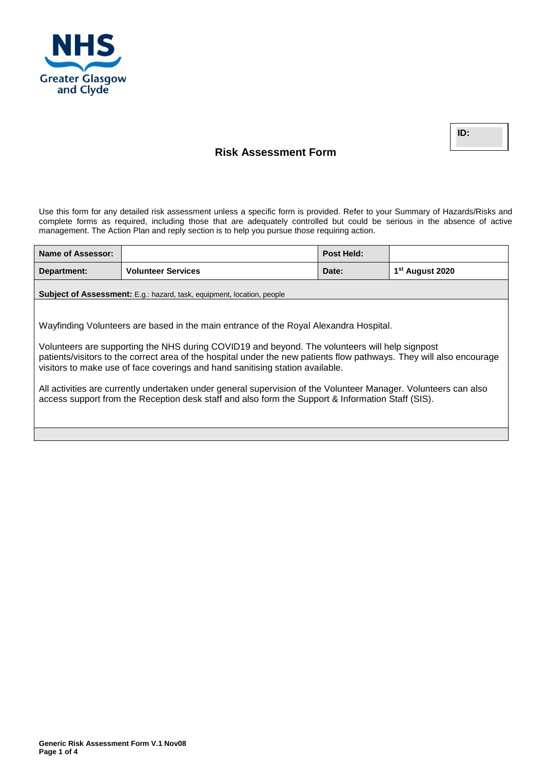

**ID:** 

# **Risk Assessment Form**

Use this form for any detailed risk assessment unless a specific form is provided. Refer to your Summary of Hazards/Risks and complete forms as required, including those that are adequately controlled but could be serious in the absence of active management. The Action Plan and reply section is to help you pursue those requiring action.

| Name of Assessor:                                                                                                                                                                                                                                                                                       |                                                                        | <b>Post Held:</b> |                             |  |  |
|---------------------------------------------------------------------------------------------------------------------------------------------------------------------------------------------------------------------------------------------------------------------------------------------------------|------------------------------------------------------------------------|-------------------|-----------------------------|--|--|
| Department:                                                                                                                                                                                                                                                                                             | <b>Volunteer Services</b>                                              | Date:             | 1 <sup>st</sup> August 2020 |  |  |
|                                                                                                                                                                                                                                                                                                         | Subject of Assessment: E.g.: hazard, task, equipment, location, people |                   |                             |  |  |
|                                                                                                                                                                                                                                                                                                         |                                                                        |                   |                             |  |  |
| Wayfinding Volunteers are based in the main entrance of the Royal Alexandra Hospital.                                                                                                                                                                                                                   |                                                                        |                   |                             |  |  |
| Volunteers are supporting the NHS during COVID19 and beyond. The volunteers will help signpost<br>patients/visitors to the correct area of the hospital under the new patients flow pathways. They will also encourage<br>visitors to make use of face coverings and hand sanitising station available. |                                                                        |                   |                             |  |  |
| All activities are currently undertaken under general supervision of the Volunteer Manager. Volunteers can also<br>access support from the Reception desk staff and also form the Support & Information Staff (SIS).                                                                                    |                                                                        |                   |                             |  |  |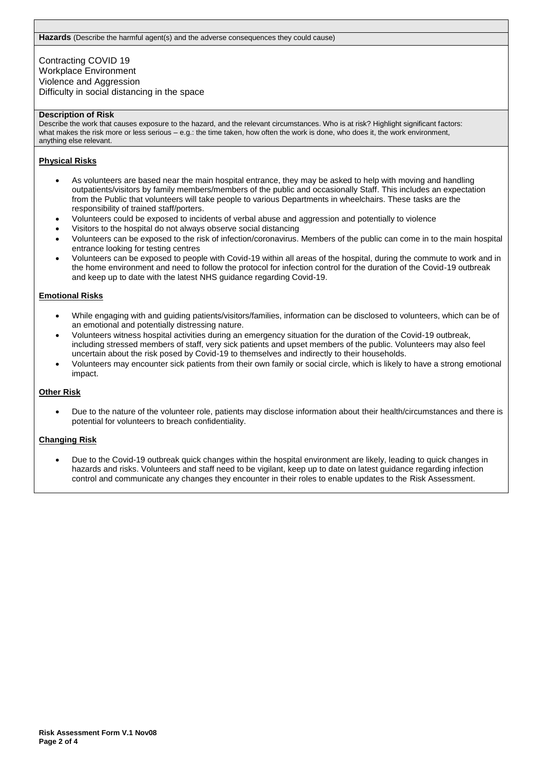Contracting COVID 19 Workplace Environment Violence and Aggression Difficulty in social distancing in the space

#### **Description of Risk**

Describe the work that causes exposure to the hazard, and the relevant circumstances. Who is at risk? Highlight significant factors: what makes the risk more or less serious – e.g.: the time taken, how often the work is done, who does it, the work environment, anything else relevant.

### **Physical Risks**

- As volunteers are based near the main hospital entrance, they may be asked to help with moving and handling outpatients/visitors by family members/members of the public and occasionally Staff. This includes an expectation from the Public that volunteers will take people to various Departments in wheelchairs. These tasks are the responsibility of trained staff/porters.
- Volunteers could be exposed to incidents of verbal abuse and aggression and potentially to violence
- Visitors to the hospital do not always observe social distancing
- Volunteers can be exposed to the risk of infection/coronavirus. Members of the public can come in to the main hospital entrance looking for testing centres
- Volunteers can be exposed to people with Covid-19 within all areas of the hospital, during the commute to work and in the home environment and need to follow the protocol for infection control for the duration of the Covid-19 outbreak and keep up to date with the latest NHS guidance regarding Covid-19.

#### **Emotional Risks**

- While engaging with and guiding patients/visitors/families, information can be disclosed to volunteers, which can be of an emotional and potentially distressing nature.
- Volunteers witness hospital activities during an emergency situation for the duration of the Covid-19 outbreak, including stressed members of staff, very sick patients and upset members of the public. Volunteers may also feel uncertain about the risk posed by Covid-19 to themselves and indirectly to their households.
- Volunteers may encounter sick patients from their own family or social circle, which is likely to have a strong emotional impact.

#### **Other Risk**

 Due to the nature of the volunteer role, patients may disclose information about their health/circumstances and there is potential for volunteers to breach confidentiality.

#### **Changing Risk**

 Due to the Covid-19 outbreak quick changes within the hospital environment are likely, leading to quick changes in hazards and risks. Volunteers and staff need to be vigilant, keep up to date on latest guidance regarding infection control and communicate any changes they encounter in their roles to enable updates to the Risk Assessment.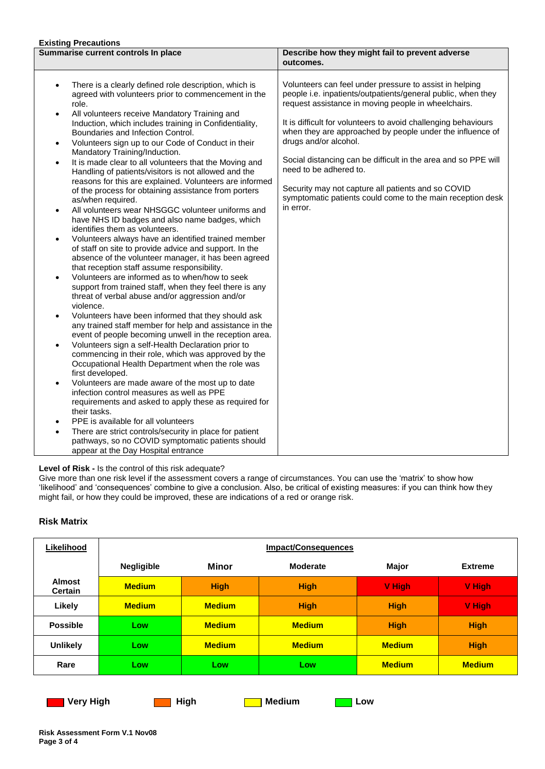# **Existing Precautions**

| слючну наседитель                                                                                                                                                                                                                                                                                                                                                                                                                                                                                                                                                                                                                                                                                                                                                                                                                                                                                                                                                                                                                                                                                                                                                                                                                                                                                                                                                                                                                                                                                                                                                                                                                                                                                                                                                                                                                                                                                                                                                                                         |                                                                                                                                                                                                                                                                                                                                                                                                                                                                                                                                                                     |  |
|-----------------------------------------------------------------------------------------------------------------------------------------------------------------------------------------------------------------------------------------------------------------------------------------------------------------------------------------------------------------------------------------------------------------------------------------------------------------------------------------------------------------------------------------------------------------------------------------------------------------------------------------------------------------------------------------------------------------------------------------------------------------------------------------------------------------------------------------------------------------------------------------------------------------------------------------------------------------------------------------------------------------------------------------------------------------------------------------------------------------------------------------------------------------------------------------------------------------------------------------------------------------------------------------------------------------------------------------------------------------------------------------------------------------------------------------------------------------------------------------------------------------------------------------------------------------------------------------------------------------------------------------------------------------------------------------------------------------------------------------------------------------------------------------------------------------------------------------------------------------------------------------------------------------------------------------------------------------------------------------------------------|---------------------------------------------------------------------------------------------------------------------------------------------------------------------------------------------------------------------------------------------------------------------------------------------------------------------------------------------------------------------------------------------------------------------------------------------------------------------------------------------------------------------------------------------------------------------|--|
| Summarise current controls In place                                                                                                                                                                                                                                                                                                                                                                                                                                                                                                                                                                                                                                                                                                                                                                                                                                                                                                                                                                                                                                                                                                                                                                                                                                                                                                                                                                                                                                                                                                                                                                                                                                                                                                                                                                                                                                                                                                                                                                       | Describe how they might fail to prevent adverse<br>outcomes.                                                                                                                                                                                                                                                                                                                                                                                                                                                                                                        |  |
| There is a clearly defined role description, which is<br>$\bullet$<br>agreed with volunteers prior to commencement in the<br>role.<br>All volunteers receive Mandatory Training and<br>$\bullet$<br>Induction, which includes training in Confidentiality,<br>Boundaries and Infection Control.<br>Volunteers sign up to our Code of Conduct in their<br>٠<br>Mandatory Training/Induction.<br>It is made clear to all volunteers that the Moving and<br>$\bullet$<br>Handling of patients/visitors is not allowed and the<br>reasons for this are explained. Volunteers are informed<br>of the process for obtaining assistance from porters<br>as/when required.<br>All volunteers wear NHSGGC volunteer uniforms and<br>$\bullet$<br>have NHS ID badges and also name badges, which<br>identifies them as volunteers.<br>Volunteers always have an identified trained member<br>$\bullet$<br>of staff on site to provide advice and support. In the<br>absence of the volunteer manager, it has been agreed<br>that reception staff assume responsibility.<br>Volunteers are informed as to when/how to seek<br>$\bullet$<br>support from trained staff, when they feel there is any<br>threat of verbal abuse and/or aggression and/or<br>violence.<br>Volunteers have been informed that they should ask<br>٠<br>any trained staff member for help and assistance in the<br>event of people becoming unwell in the reception area.<br>Volunteers sign a self-Health Declaration prior to<br>$\bullet$<br>commencing in their role, which was approved by the<br>Occupational Health Department when the role was<br>first developed.<br>Volunteers are made aware of the most up to date<br>٠<br>infection control measures as well as PPE<br>requirements and asked to apply these as required for<br>their tasks.<br>PPE is available for all volunteers<br>$\bullet$<br>There are strict controls/security in place for patient<br>$\bullet$<br>pathways, so no COVID symptomatic patients should | Volunteers can feel under pressure to assist in helping<br>people i.e. inpatients/outpatients/general public, when they<br>request assistance in moving people in wheelchairs.<br>It is difficult for volunteers to avoid challenging behaviours<br>when they are approached by people under the influence of<br>drugs and/or alcohol.<br>Social distancing can be difficult in the area and so PPE will<br>need to be adhered to.<br>Security may not capture all patients and so COVID<br>symptomatic patients could come to the main reception desk<br>in error. |  |
| appear at the Day Hospital entrance                                                                                                                                                                                                                                                                                                                                                                                                                                                                                                                                                                                                                                                                                                                                                                                                                                                                                                                                                                                                                                                                                                                                                                                                                                                                                                                                                                                                                                                                                                                                                                                                                                                                                                                                                                                                                                                                                                                                                                       |                                                                                                                                                                                                                                                                                                                                                                                                                                                                                                                                                                     |  |

**Level of Risk -** Is the control of this risk adequate?

Give more than one risk level if the assessment covers a range of circumstances. You can use the 'matrix' to show how 'likelihood' and 'consequences' combine to give a conclusion. Also, be critical of existing measures: if you can think how they might fail, or how they could be improved, these are indications of a red or orange risk.

## **Risk Matrix**

| Likelihood                      | <b>Impact/Consequences</b> |               |                 |               |                |
|---------------------------------|----------------------------|---------------|-----------------|---------------|----------------|
|                                 | <b>Negligible</b>          | <b>Minor</b>  | <b>Moderate</b> | Major         | <b>Extreme</b> |
| <b>Almost</b><br><b>Certain</b> | <b>Medium</b>              | <b>High</b>   | <b>High</b>     | V High        | V High         |
| Likely                          | <b>Medium</b>              | <b>Medium</b> | <b>High</b>     | <b>High</b>   | V High         |
| <b>Possible</b>                 | Low                        | <b>Medium</b> | <b>Medium</b>   | <b>High</b>   | <b>High</b>    |
| <b>Unlikely</b>                 | Low                        | <b>Medium</b> | <b>Medium</b>   | <b>Medium</b> | <b>High</b>    |
| Rare                            | Low                        | Low           | Low             | <b>Medium</b> | <b>Medium</b>  |

**Very High Communism Communism Communism Communism Communism Communism Communism Communism Communism Communism Communism Communism Communism Communism Communism Communism Communism Communism Communism Communism Communism C**